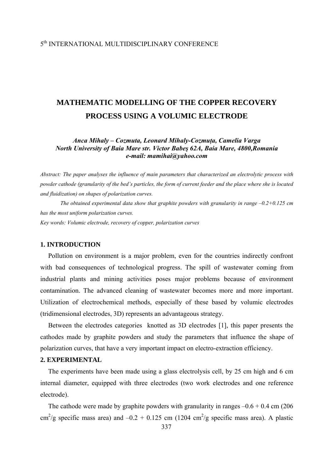# **MATHEMATIC MODELLING OF THE COPPER RECOVERY PROCESS USING A VOLUMIC ELECTRODE**

*Anca Mihaly – Cozmuta, Leonard Mihaly-Cozmuţa, Camelia Varga North University of Baia Mare str. Victor Babeş 62A, Baia Mare, 4800,Romania e-mail: mamihai@yahoo.com* 

*Abstract: The paper analyses the influence of main parameters that characterized an electrolytic process with powder cathode (granularity of the bed's particles, the form of current feeder and the place where she is located and fluidization) on shapes of polarization curves.* 

*The obtained experimental data show that graphite powders with granularity in range –0.2+0.125 cm has the most uniform polarization curves.* 

*Key words: Volumic electrode, recovery of copper, polarization curves* 

### **1. INTRODUCTION**

Pollution on environment is a major problem, even for the countries indirectly confront with bad consequences of technological progress. The spill of wastewater coming from industrial plants and mining activities poses major problems because of environment contamination. The advanced cleaning of wastewater becomes more and more important. Utilization of electrochemical methods, especially of these based by volumic electrodes (tridimensional electrodes, 3D) represents an advantageous strategy.

Between the electrodes categories knotted as 3D electrodes [1], this paper presents the cathodes made by graphite powders and study the parameters that influence the shape of polarization curves, that have a very important impact on electro-extraction efficiency.

## **2. EXPERIMENTAL**

The experiments have been made using a glass electrolysis cell, by 25 cm high and 6 cm internal diameter, equipped with three electrodes (two work electrodes and one reference electrode).

The cathode were made by graphite powders with granularity in ranges  $-0.6 + 0.4$  cm (206) cm<sup>2</sup>/g specific mass area) and  $-0.2 + 0.125$  cm (1204 cm<sup>2</sup>/g specific mass area). A plastic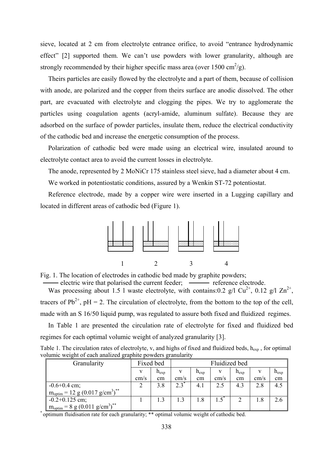sieve, located at 2 cm from electrolyte entrance orifice, to avoid "entrance hydrodynamic effect" [2] supported them. We can't use powders with lower granularity, although are strongly recommended by their higher specific mass area (over  $1500 \text{ cm}^2/\text{g}$ ).

Theirs particles are easily flowed by the electrolyte and a part of them, because of collision with anode, are polarized and the copper from theirs surface are anodic dissolved. The other part, are evacuated with electrolyte and clogging the pipes. We try to agglomerate the particles using coagulation agents (acryl-amide, aluminum sulfate). Because they are adsorbed on the surface of powder particles, insulate them, reduce the electrical conductivity of the cathodic bed and increase the energetic consumption of the process.

Polarization of cathodic bed were made using an electrical wire, insulated around to electrolyte contact area to avoid the current losses in electrolyte.

The anode, represented by 2 MoNiCr 175 stainless steel sieve, had a diameter about 4 cm.

We worked in potentiostatic conditions, assured by a Wenkin ST-72 potentiostat.

Reference electrode, made by a copper wire were inserted in a Lugging capillary and located in different areas of cathodic bed (Figure 1).



Fig. 1. The location of electrodes in cathodic bed made by graphite powders;

- electric wire that polarised the current feeder; —— reference electrode. Was processing about 1.5 l waste electrolyte, with contains:0.2 g/l Cu<sup>2+</sup>, 0.12 g/l Zn<sup>2+</sup>, tracers of  $Pb^{2+}$ ,  $pH = 2$ . The circulation of electrolyte, from the bottom to the top of the cell, made with an S 16/50 liquid pump, was regulated to assure both fixed and fluidized regimes.

In Table 1 are presented the circulation rate of electrolyte for fixed and fluidized bed regimes for each optimal volumic weight of analyzed granularity [3].

| Table 1. The circulation rates of electrolyte, v, and highs of fixed and fluidized beds, $h_{exp}$ , for optimal |  |
|------------------------------------------------------------------------------------------------------------------|--|
| volumic weight of each analized graphite powders granularity                                                     |  |

| Granularity                                                   |      | Fixed bed | Fluidized bed |           |      |           |      |           |
|---------------------------------------------------------------|------|-----------|---------------|-----------|------|-----------|------|-----------|
|                                                               |      | $h_{exp}$ | V             | $n_{exp}$ |      | $h_{exp}$ |      | $h_{exp}$ |
|                                                               | cm/s | cm        | cm/s          | cm        | cm/s | cm        | cm/s | cm        |
| $-0.6 + 0.4$ cm;                                              |      | 3.8       | $2.3^*$       | 4.1       | 2.5  | 4.3       | 2.8  | 4.5       |
| $m_{\text{optim}} = 12 \text{ g} (0.017 \text{ g/cm}^3)^{**}$ |      |           |               |           |      |           |      |           |
| $-0.2+0.125$ cm;                                              |      |           | 1.3           | 1.8       |      |           | 1.8  | 2.6       |
| $m_{\text{optim}} = 8 \text{ g} (0.011 \text{ g/cm}^3)^{**}$  |      |           |               |           |      |           |      |           |

\* optimum fluidisation rate for each granularity; \*\* optimal volumic weight of cathodic bed.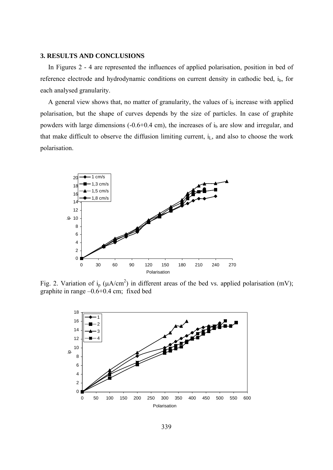#### **3. RESULTS AND CONCLUSIONS**

In Figures 2 - 4 are represented the influences of applied polarisation, position in bed of reference electrode and hydrodynamic conditions on current density in cathodic bed, i<sub>b</sub>, for each analysed granularity.

A general view shows that, no matter of granularity, the values of  $i<sub>b</sub>$  increase with applied polarisation, but the shape of curves depends by the size of particles. In case of graphite powders with large dimensions  $(-0.6+0.4 \text{ cm})$ , the increases of  $i<sub>b</sub>$  are slow and irregular, and that make difficult to observe the diffusion limiting current,  $i<sub>L</sub>$ , and also to choose the work polarisation.



Fig. 2. Variation of i<sub>p</sub> ( $\mu A/cm^2$ ) in different areas of the bed vs. applied polarisation (mV); graphite in range –0.6+0.4 cm; fixed bed

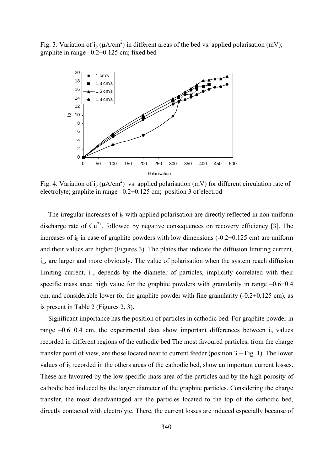Fig. 3. Variation of i<sub>p</sub> ( $\mu$ A/cm<sup>2</sup>) in different areas of the bed vs. applied polarisation (mV); graphite in range –0.2+0.125 cm; fixed bed



Fig. 4. Variation of i<sub>p</sub> ( $\mu$ A/cm<sup>2</sup>) vs. applied polarisation (mV) for different circulation rate of electrolyte; graphite in range –0.2+0.125 cm; position 3 of electrod

The irregular increases of i<sub>b</sub> with applied polarisation are directly reflected in non-uniform discharge rate of  $Cu^{2+}$ , followed by negative consequences on recovery efficiency [3]. The increases of  $i<sub>b</sub>$  in case of graphite powders with low dimensions (-0.2+0.125 cm) are uniform and their values are higher (Figures 3). The plates that indicate the diffusion limiting current,  $i<sub>L</sub>$ , are larger and more obviously. The value of polarisation when the system reach diffusion limiting current,  $i<sub>L</sub>$ , depends by the diameter of particles, implicitly correlated with their specific mass area: high value for the graphite powders with granularity in range  $-0.6+0.4$ cm, and considerable lower for the graphite powder with fine granularity  $(-0.2+0.125 \text{ cm})$ , as is present in Table 2 (Figures 2, 3).

Significant importance has the position of particles in cathodic bed. For graphite powder in range  $-0.6+0.4$  cm, the experimental data show important differences between  $i<sub>b</sub>$  values recorded in different regions of the cathodic bed.The most favoured particles, from the charge transfer point of view, are those located near to current feeder (position 3 – Fig. 1). The lower values of i<sub>b</sub> recorded in the others areas of the cathodic bed, show an important current losses. These are favoured by the low specific mass area of the particles and by the high porosity of cathodic bed induced by the larger diameter of the graphite particles. Considering the charge transfer, the most disadvantaged are the particles located to the top of the cathodic bed, directly contacted with electrolyte. There, the current losses are induced especially because of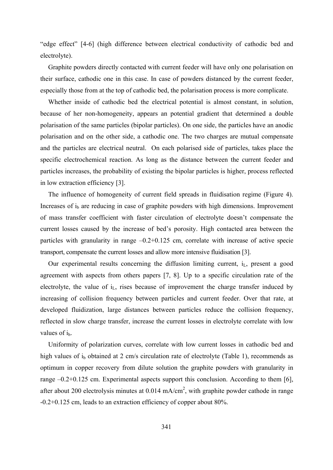"edge effect" [4-6] (high difference between electrical conductivity of cathodic bed and electrolyte).

Graphite powders directly contacted with current feeder will have only one polarisation on their surface, cathodic one in this case. In case of powders distanced by the current feeder, especially those from at the top of cathodic bed, the polarisation process is more complicate.

Whether inside of cathodic bed the electrical potential is almost constant, in solution, because of her non-homogeneity, appears an potential gradient that determined a double polarisation of the same particles (bipolar particles). On one side, the particles have an anodic polarisation and on the other side, a cathodic one. The two charges are mutual compensate and the particles are electrical neutral. On each polarised side of particles, takes place the specific electrochemical reaction. As long as the distance between the current feeder and particles increases, the probability of existing the bipolar particles is higher, process reflected in low extraction efficiency [3].

The influence of homogeneity of current field spreads in fluidisation regime (Figure 4). Increases of  $i<sub>b</sub>$  are reducing in case of graphite powders with high dimensions. Improvement of mass transfer coefficient with faster circulation of electrolyte doesn't compensate the current losses caused by the increase of bed's porosity. High contacted area between the particles with granularity in range –0.2+0.125 cm, correlate with increase of active specie transport, compensate the current losses and allow more intensive fluidisation [3].

Our experimental results concerning the diffusion limiting current,  $i<sub>L</sub>$ , present a good agreement with aspects from others papers [7, 8]. Up to a specific circulation rate of the electrolyte, the value of  $i<sub>L</sub>$ , rises because of improvement the charge transfer induced by increasing of collision frequency between particles and current feeder. Over that rate, at developed fluidization, large distances between particles reduce the collision frequency, reflected in slow charge transfer, increase the current losses in electrolyte correlate with low values of  $i<sub>b</sub>$ .

Uniformity of polarization curves, correlate with low current losses in cathodic bed and high values of  $i<sub>b</sub>$  obtained at 2 cm/s circulation rate of electrolyte (Table 1), recommends as optimum in copper recovery from dilute solution the graphite powders with granularity in range –0.2+0.125 cm. Experimental aspects support this conclusion. According to them [6], after about 200 electrolysis minutes at  $0.014$  mA/cm<sup>2</sup>, with graphite powder cathode in range -0.2+0.125 cm, leads to an extraction efficiency of copper about 80%.